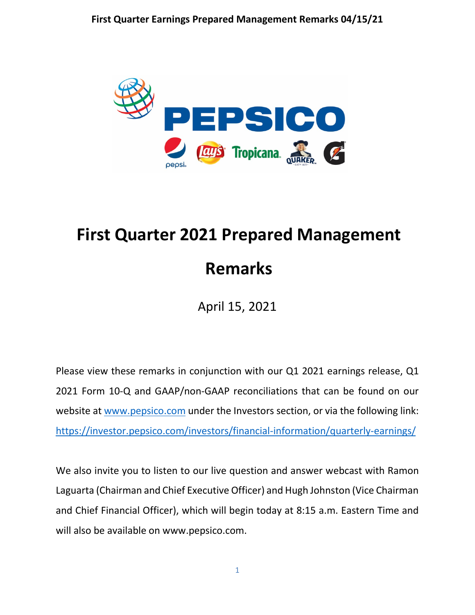

# **First Quarter 2021 Prepared Management Remarks**

April 15, 2021

Please view these remarks in conjunction with our Q1 2021 earnings release, Q1 2021 Form 10-Q and GAAP/non-GAAP reconciliations that can be found on our website at [www.pepsico.com](http://www.pepsico.com/) under the Investors section, or via the following link: <https://investor.pepsico.com/investors/financial-information/quarterly-earnings/>

We also invite you to listen to our live question and answer webcast with Ramon Laguarta (Chairman and Chief Executive Officer) and Hugh Johnston (Vice Chairman and Chief Financial Officer), which will begin today at 8:15 a.m. Eastern Time and will also be available on www.pepsico.com.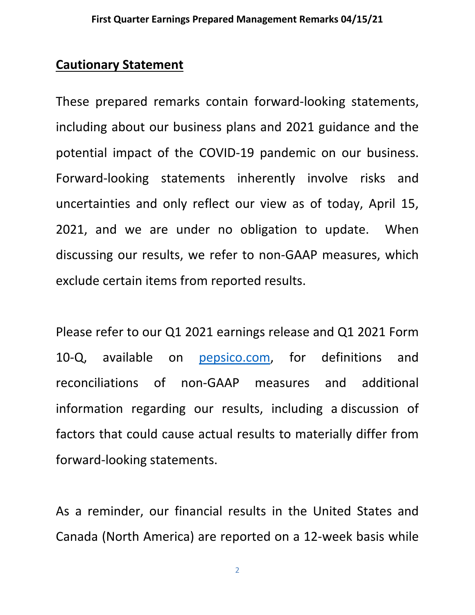# **Cautionary Statement**

These prepared remarks contain forward-looking statements, including about our business plans and 2021 guidance and the potential impact of the COVID-19 pandemic on our business. Forward-looking statements inherently involve risks and uncertainties and only reflect our view as of today, April 15, 2021, and we are under no obligation to update. When discussing our results, we refer to non-GAAP measures, which exclude certain items from reported results.

Please refer to our Q1 2021 earnings release and Q1 2021 Form 10-Q, available on [pepsico.com,](http://pepsico.com/) for definitions and reconciliations of non-GAAP measures and additional information regarding our results, including a discussion of factors that could cause actual results to materially differ from forward-looking statements.

As a reminder, our financial results in the United States and Canada (North America) are reported on a 12-week basis while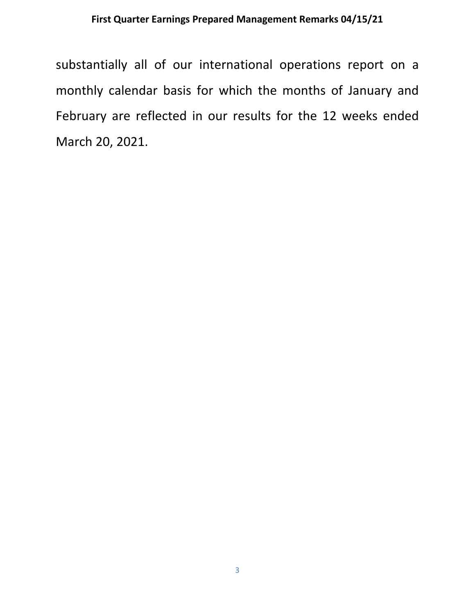substantially all of our international operations report on a monthly calendar basis for which the months of January and February are reflected in our results for the 12 weeks ended March 20, 2021.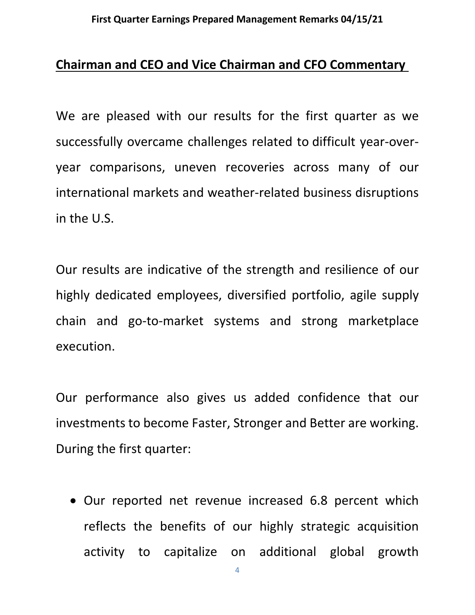## **Chairman and CEO and Vice Chairman and CFO Commentary**

We are pleased with our results for the first quarter as we successfully overcame challenges related to difficult year-overyear comparisons, uneven recoveries across many of our international markets and weather-related business disruptions in the U.S.

Our results are indicative of the strength and resilience of our highly dedicated employees, diversified portfolio, agile supply chain and go-to-market systems and strong marketplace execution.

Our performance also gives us added confidence that our investments to become Faster, Stronger and Better are working. During the first quarter:

• Our reported net revenue increased 6.8 percent which reflects the benefits of our highly strategic acquisition activity to capitalize on additional global growth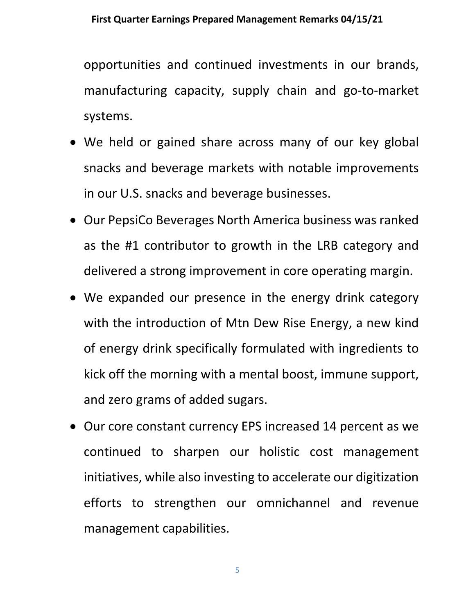opportunities and continued investments in our brands, manufacturing capacity, supply chain and go-to-market systems.

- We held or gained share across many of our key global snacks and beverage markets with notable improvements in our U.S. snacks and beverage businesses.
- Our PepsiCo Beverages North America business was ranked as the #1 contributor to growth in the LRB category and delivered a strong improvement in core operating margin.
- We expanded our presence in the energy drink category with the introduction of Mtn Dew Rise Energy, a new kind of energy drink specifically formulated with ingredients to kick off the morning with a mental boost, immune support, and zero grams of added sugars.
- Our core constant currency EPS increased 14 percent as we continued to sharpen our holistic cost management initiatives, while also investing to accelerate our digitization efforts to strengthen our omnichannel and revenue management capabilities.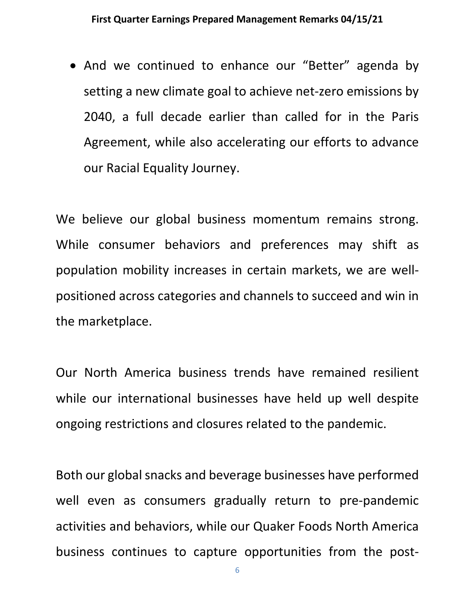• And we continued to enhance our "Better" agenda by setting a new climate goal to achieve net-zero emissions by 2040, a full decade earlier than called for in the Paris Agreement, while also accelerating our efforts to advance our Racial Equality Journey.

We believe our global business momentum remains strong. While consumer behaviors and preferences may shift as population mobility increases in certain markets, we are wellpositioned across categories and channels to succeed and win in the marketplace.

Our North America business trends have remained resilient while our international businesses have held up well despite ongoing restrictions and closures related to the pandemic.

Both our global snacks and beverage businesses have performed well even as consumers gradually return to pre-pandemic activities and behaviors, while our Quaker Foods North America business continues to capture opportunities from the post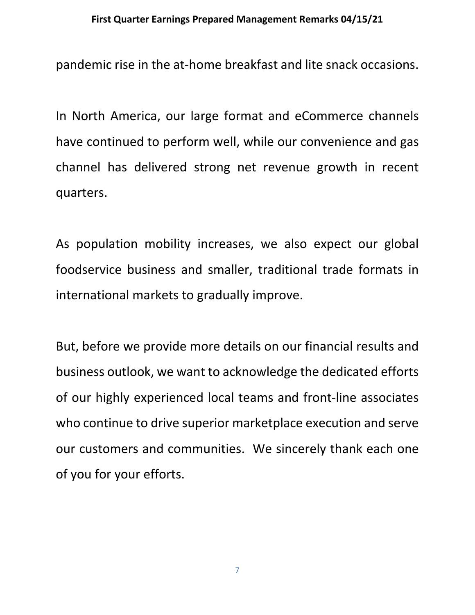pandemic rise in the at-home breakfast and lite snack occasions.

In North America, our large format and eCommerce channels have continued to perform well, while our convenience and gas channel has delivered strong net revenue growth in recent quarters.

As population mobility increases, we also expect our global foodservice business and smaller, traditional trade formats in international markets to gradually improve.

But, before we provide more details on our financial results and business outlook, we want to acknowledge the dedicated efforts of our highly experienced local teams and front-line associates who continue to drive superior marketplace execution and serve our customers and communities. We sincerely thank each one of you for your efforts.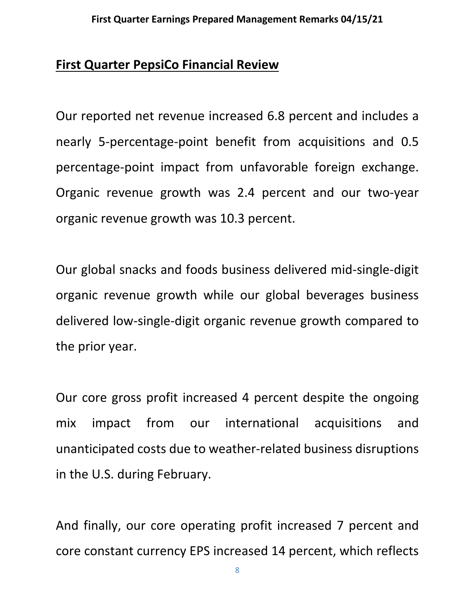# **First Quarter PepsiCo Financial Review**

Our reported net revenue increased 6.8 percent and includes a nearly 5-percentage-point benefit from acquisitions and 0.5 percentage-point impact from unfavorable foreign exchange. Organic revenue growth was 2.4 percent and our two-year organic revenue growth was 10.3 percent.

Our global snacks and foods business delivered mid-single-digit organic revenue growth while our global beverages business delivered low-single-digit organic revenue growth compared to the prior year.

Our core gross profit increased 4 percent despite the ongoing mix impact from our international acquisitions and unanticipated costs due to weather-related business disruptions in the U.S. during February.

And finally, our core operating profit increased 7 percent and core constant currency EPS increased 14 percent, which reflects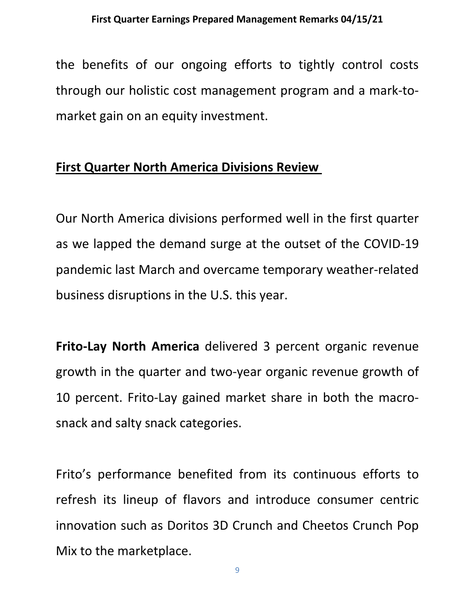the benefits of our ongoing efforts to tightly control costs through our holistic cost management program and a mark-tomarket gain on an equity investment.

# **First Quarter North America Divisions Review**

Our North America divisions performed well in the first quarter as we lapped the demand surge at the outset of the COVID-19 pandemic last March and overcame temporary weather-related business disruptions in the U.S. this year.

**Frito-Lay North America** delivered 3 percent organic revenue growth in the quarter and two-year organic revenue growth of 10 percent. Frito-Lay gained market share in both the macrosnack and salty snack categories.

Frito's performance benefited from its continuous efforts to refresh its lineup of flavors and introduce consumer centric innovation such as Doritos 3D Crunch and Cheetos Crunch Pop Mix to the marketplace.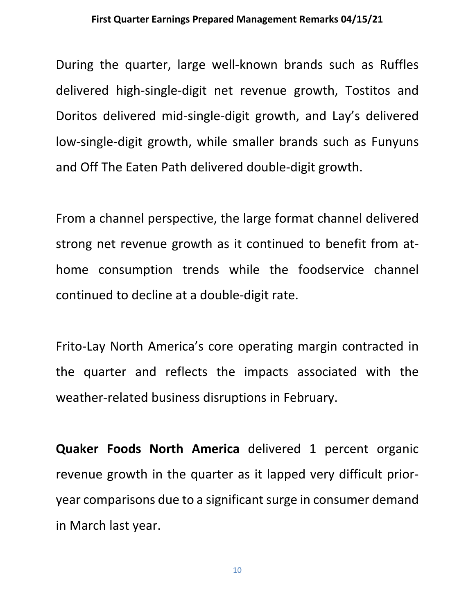During the quarter, large well-known brands such as Ruffles delivered high-single-digit net revenue growth, Tostitos and Doritos delivered mid-single-digit growth, and Lay's delivered low-single-digit growth, while smaller brands such as Funyuns and Off The Eaten Path delivered double-digit growth.

From a channel perspective, the large format channel delivered strong net revenue growth as it continued to benefit from athome consumption trends while the foodservice channel continued to decline at a double-digit rate.

Frito-Lay North America's core operating margin contracted in the quarter and reflects the impacts associated with the weather-related business disruptions in February.

**Quaker Foods North America** delivered 1 percent organic revenue growth in the quarter as it lapped very difficult prioryear comparisons due to a significant surge in consumer demand in March last year.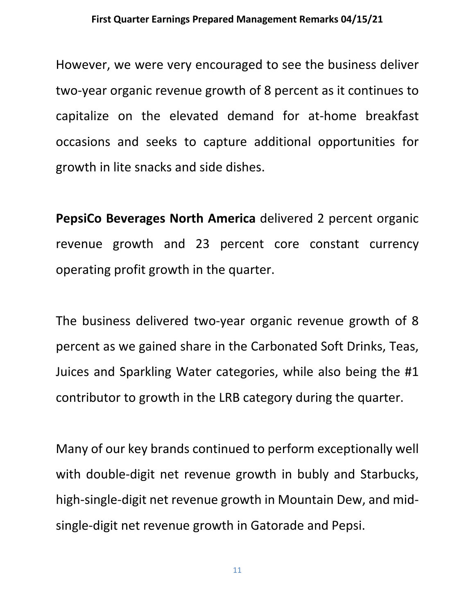However, we were very encouraged to see the business deliver two-year organic revenue growth of 8 percent as it continues to capitalize on the elevated demand for at-home breakfast occasions and seeks to capture additional opportunities for growth in lite snacks and side dishes.

**PepsiCo Beverages North America** delivered 2 percent organic revenue growth and 23 percent core constant currency operating profit growth in the quarter.

The business delivered two-year organic revenue growth of 8 percent as we gained share in the Carbonated Soft Drinks, Teas, Juices and Sparkling Water categories, while also being the #1 contributor to growth in the LRB category during the quarter.

Many of our key brands continued to perform exceptionally well with double-digit net revenue growth in bubly and Starbucks, high-single-digit net revenue growth in Mountain Dew, and midsingle-digit net revenue growth in Gatorade and Pepsi.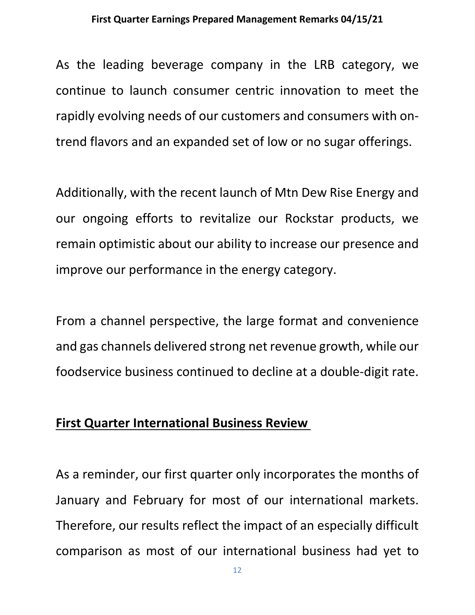As the leading beverage company in the LRB category, we continue to launch consumer centric innovation to meet the rapidly evolving needs of our customers and consumers with ontrend flavors and an expanded set of low or no sugar offerings.

Additionally, with the recent launch of Mtn Dew Rise Energy and our ongoing efforts to revitalize our Rockstar products, we remain optimistic about our ability to increase our presence and improve our performance in the energy category.

From a channel perspective, the large format and convenience and gas channels delivered strong net revenue growth, while our foodservice business continued to decline at a double-digit rate.

## **First Quarter International Business Review**

As a reminder, our first quarter only incorporates the months of January and February for most of our international markets. Therefore, our results reflect the impact of an especially difficult comparison as most of our international business had yet to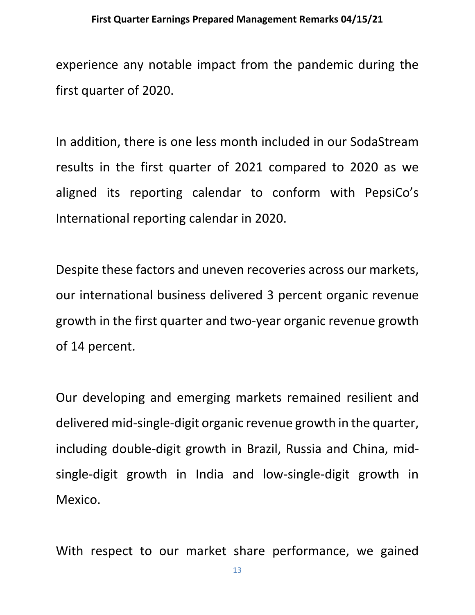experience any notable impact from the pandemic during the first quarter of 2020.

In addition, there is one less month included in our SodaStream results in the first quarter of 2021 compared to 2020 as we aligned its reporting calendar to conform with PepsiCo's International reporting calendar in 2020.

Despite these factors and uneven recoveries across our markets, our international business delivered 3 percent organic revenue growth in the first quarter and two-year organic revenue growth of 14 percent.

Our developing and emerging markets remained resilient and delivered mid-single-digit organic revenue growth in the quarter, including double-digit growth in Brazil, Russia and China, midsingle-digit growth in India and low-single-digit growth in Mexico.

With respect to our market share performance, we gained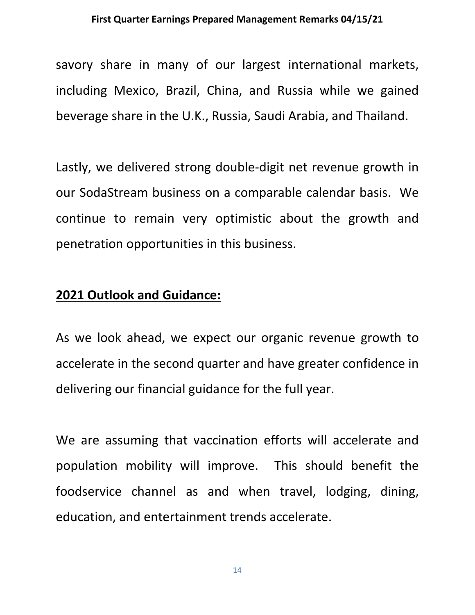savory share in many of our largest international markets, including Mexico, Brazil, China, and Russia while we gained beverage share in the U.K., Russia, Saudi Arabia, and Thailand.

Lastly, we delivered strong double-digit net revenue growth in our SodaStream business on a comparable calendar basis. We continue to remain very optimistic about the growth and penetration opportunities in this business.

## **2021 Outlook and Guidance:**

As we look ahead, we expect our organic revenue growth to accelerate in the second quarter and have greater confidence in delivering our financial guidance for the full year.

We are assuming that vaccination efforts will accelerate and population mobility will improve. This should benefit the foodservice channel as and when travel, lodging, dining, education, and entertainment trends accelerate.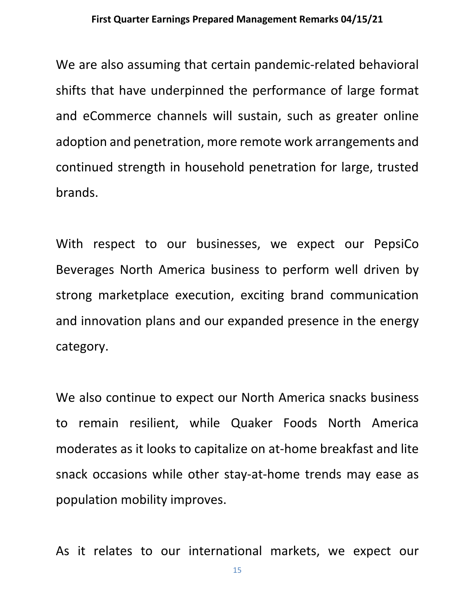We are also assuming that certain pandemic-related behavioral shifts that have underpinned the performance of large format and eCommerce channels will sustain, such as greater online adoption and penetration, more remote work arrangements and continued strength in household penetration for large, trusted brands.

With respect to our businesses, we expect our PepsiCo Beverages North America business to perform well driven by strong marketplace execution, exciting brand communication and innovation plans and our expanded presence in the energy category.

We also continue to expect our North America snacks business to remain resilient, while Quaker Foods North America moderates as it looks to capitalize on at-home breakfast and lite snack occasions while other stay-at-home trends may ease as population mobility improves.

As it relates to our international markets, we expect our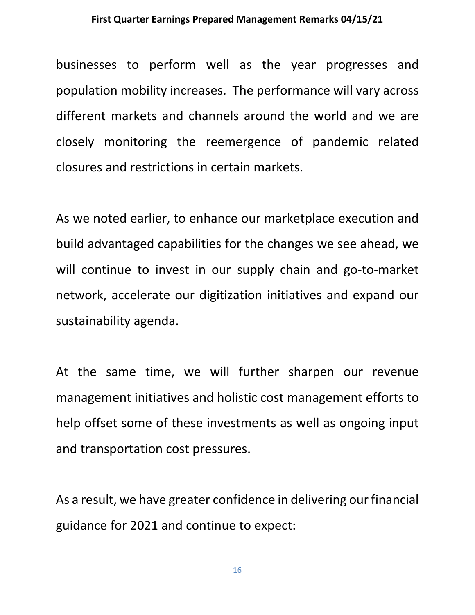businesses to perform well as the year progresses and population mobility increases. The performance will vary across different markets and channels around the world and we are closely monitoring the reemergence of pandemic related closures and restrictions in certain markets.

As we noted earlier, to enhance our marketplace execution and build advantaged capabilities for the changes we see ahead, we will continue to invest in our supply chain and go-to-market network, accelerate our digitization initiatives and expand our sustainability agenda.

At the same time, we will further sharpen our revenue management initiatives and holistic cost management efforts to help offset some of these investments as well as ongoing input and transportation cost pressures.

As a result, we have greater confidence in delivering our financial guidance for 2021 and continue to expect: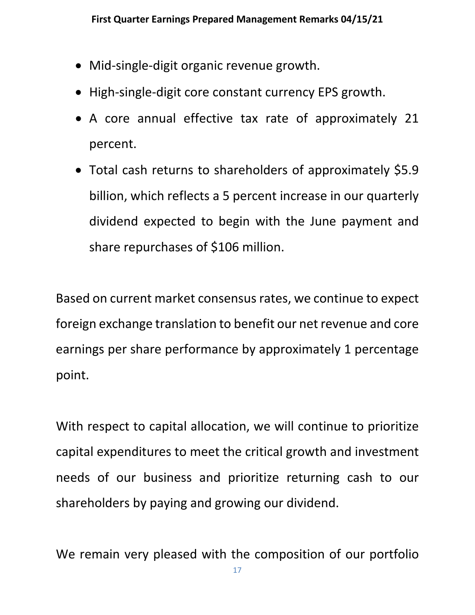- Mid-single-digit organic revenue growth.
- High-single-digit core constant currency EPS growth.
- A core annual effective tax rate of approximately 21 percent.
- Total cash returns to shareholders of approximately \$5.9 billion, which reflects a 5 percent increase in our quarterly dividend expected to begin with the June payment and share repurchases of \$106 million.

Based on current market consensus rates, we continue to expect foreign exchange translation to benefit our net revenue and core earnings per share performance by approximately 1 percentage point.

With respect to capital allocation, we will continue to prioritize capital expenditures to meet the critical growth and investment needs of our business and prioritize returning cash to our shareholders by paying and growing our dividend.

We remain very pleased with the composition of our portfolio